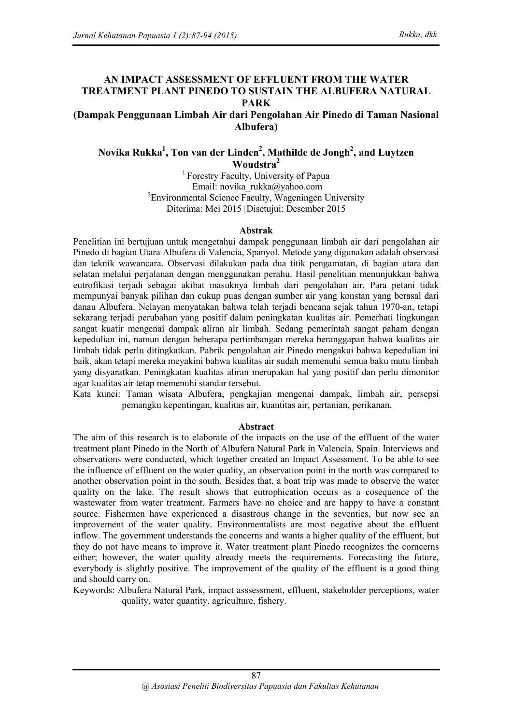### **AN IMPACT ASSESSMENT OF EFFLUENT FROM THE WATER TREATMENT PLANT PINEDO TO SUSTAIN THE ALBUFERA NATURAL PARK**

**(Dampak Penggunaan Limbah Air dari Pengolahan Air Pinedo di Taman Nasional Albufera)**

## **Novika Rukka<sup>1</sup> , Ton van der Linden<sup>2</sup> , Mathilde de Jongh<sup>2</sup> , and Luytzen Woudstra<sup>2</sup>**

<sup>1</sup> Forestry Faculty, University of Papua Email: novika rukka@yahoo.com <sup>2</sup>Environmental Science Faculty, Wageningen University Diterima: Mei 2015|Disetujui: Desember 2015

#### **Abstrak**

Penelitian ini bertujuan untuk mengetahui dampak penggunaan limbah air dari pengolahan air Pinedo di bagian Utara Albufera di Valencia, Spanyol. Metode yang digunakan adalah observasi dan teknik wawancara. Observasi dilakukan pada dua titik pengamatan, di bagian utara dan selatan melalui perjalanan dengan menggunakan perahu. Hasil penelitian menunjukkan bahwa eutrofikasi terjadi sebagai akibat masuknya limbah dari pengolahan air. Para petani tidak mempunyai banyak pilihan dan cukup puas dengan sumber air yang konstan yang berasal dari danau Albufera. Nelayan menyatakan bahwa telah terjadi bencana sejak tahun 1970-an, tetapi sekarang terjadi perubahan yang positif dalam peningkatan kualitas air. Pemerhati lingkungan sangat kuatir mengenai dampak aliran air limbah. Sedang pemerintah sangat paham dengan kepedulian ini, namun dengan beberapa pertimbangan mereka beranggapan bahwa kualitas air limbah tidak perlu ditingkatkan. Pabrik pengolahan air Pinedo mengakui bahwa kepedulian ini baik, akan tetapi mereka meyakini bahwa kualitas air sudah memenuhi semua baku mutu limbah yang disyaratkan. Peningkatan kualitas aliran merupakan hal yang positif dan perlu dimonitor agar kualitas air tetap memenuhi standar tersebut.

Kata kunci: Taman wisata Albufera, pengkajian mengenai dampak, limbah air, persepsi pemangku kepentingan, kualitas air, kuantitas air, pertanian, perikanan.

#### **Abstract**

The aim of this research is to elaborate of the impacts on the use of the effluent of the water treatment plant Pinedo in the North of Albufera Natural Park in Valencia, Spain. Interviews and observations were conducted, which together created an Impact Assessment. To be able to see the influence of effluent on the water quality, an observation point in the north was compared to another observation point in the south. Besides that, a boat trip was made to observe the water quality on the lake. The result shows that eutrophication occurs as a cosequence of the wastewater from water treatment. Farmers have no choice and are happy to have a constant source. Fishermen have experienced a disastrous change in the seventies, but now see an improvement of the water quality. Environmentalists are most negative about the effluent inflow. The government understands the concerns and wants a higher quality of the effluent, but they do not have means to improve it. Water treatment plant Pinedo recognizes the corncerns either; however, the water quality already meets the requirements. Forecasting the future, everybody is slightly positive. The improvement of the quality of the effluent is a good thing and should carry on.

Keywords: Albufera Natural Park, impact asssessment, effluent, stakeholder perceptions, water quality, water quantity, agriculture, fishery.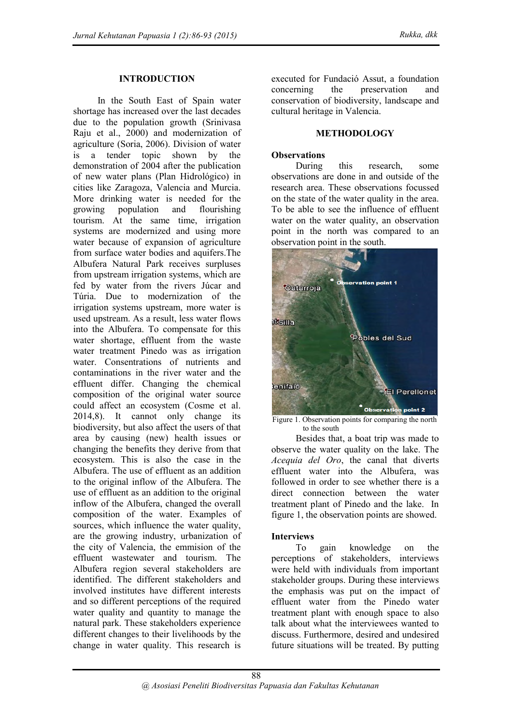### **INTRODUCTION**

In the South East of Spain water shortage has increased over the last decades due to the population growth (Srinivasa Raju et al., 2000) and modernization of agriculture (Soria, 2006). Division of water is a tender topic shown by the demonstration of 2004 after the publication of new water plans (Plan Hidrológico) in cities like Zaragoza, Valencia and Murcia. More drinking water is needed for the growing population and flourishing tourism. At the same time, irrigation systems are modernized and using more water because of expansion of agriculture from surface water bodies and aquifers.The Albufera Natural Park receives surpluses from upstream irrigation systems, which are fed by water from the rivers Júcar and Túria. Due to modernization of the irrigation systems upstream, more water is used upstream. As a result, less water flows into the Albufera. To compensate for this water shortage, effluent from the waste water treatment Pinedo was as irrigation water. Consentrations of nutrients and contaminations in the river water and the effluent differ. Changing the chemical composition of the original water source could affect an ecosystem (Cosme et al. 2014,8). It cannot only change its biodiversity, but also affect the users of that area by causing (new) health issues or changing the benefits they derive from that ecosystem. This is also the case in the Albufera. The use of effluent as an addition to the original inflow of the Albufera. The use of effluent as an addition to the original inflow of the Albufera, changed the overall composition of the water. Examples of sources, which influence the water quality, are the growing industry, urbanization of the city of Valencia, the emmision of the effluent wastewater and tourism. The Albufera region several stakeholders are identified. The different stakeholders and involved institutes have different interests and so different perceptions of the required water quality and quantity to manage the natural park. These stakeholders experience different changes to their livelihoods by the change in water quality. This research is

executed for Fundació Assut, a foundation concerning the preservation and conservation of biodiversity, landscape and cultural heritage in Valencia.

### **METHODOLOGY**

### **Observations**

During this research, some observations are done in and outside of the research area. These observations focussed on the state of the water quality in the area. To be able to see the influence of effluent water on the water quality, an observation point in the north was compared to an observation point in the south.



Figure 1. Observation points for comparing the north to the south

Besides that, a boat trip was made to observe the water quality on the lake. The *Acequia del Oro*, the canal that diverts effluent water into the Albufera, was followed in order to see whether there is a direct connection between the water treatment plant of Pinedo and the lake. In figure 1, the observation points are showed.

### **Interviews**

To gain knowledge on the perceptions of stakeholders, interviews were held with individuals from important stakeholder groups. During these interviews the emphasis was put on the impact of effluent water from the Pinedo water treatment plant with enough space to also talk about what the interviewees wanted to discuss. Furthermore, desired and undesired future situations will be treated. By putting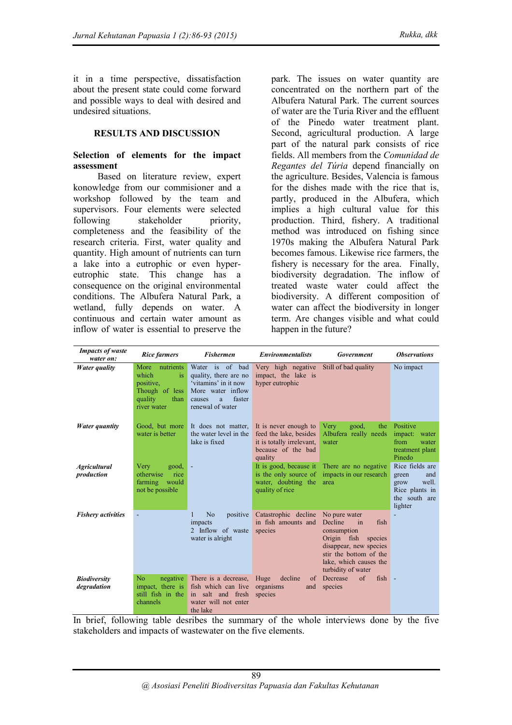it in a time perspective, dissatisfaction about the present state could come forward and possible ways to deal with desired and undesired situations.

### **RESULTS AND DISCUSSION**

#### **Selection of elements for the impact assessment**

Based on literature review, expert konowledge from our commisioner and a workshop followed by the team and supervisors. Four elements were selected following stakeholder priority. completeness and the feasibility of the research criteria. First, water quality and quantity. High amount of nutrients can turn a lake into a eutrophic or even hypereutrophic state. This change has a consequence on the original environmental conditions. The Albufera Natural Park, a wetland, fully depends on water. A continuous and certain water amount as inflow of water is essential to preserve the

park. The issues on water quantity are concentrated on the northern part of the Albufera Natural Park. The current sources of water are the Turia River and the effluent of the Pinedo water treatment plant. Second, agricultural production. A large part of the natural park consists of rice fields. All members from the *Comunidad de Regantes del Túria* depend financially on the agriculture. Besides, Valencia is famous for the dishes made with the rice that is, partly, produced in the Albufera, which implies a high cultural value for this production. Third, fishery. A traditional method was introduced on fishing since 1970s making the Albufera Natural Park becomes famous. Likewise rice farmers, the fishery is necessary for the area. Finally, biodiversity degradation. The inflow of treated waste water could affect the biodiversity. A different composition of water can affect the biodiversity in longer term. Are changes visible and what could happen in the future?

| <b>Impacts of waste</b><br>water on: | <b>Rice farmers</b>                                                                            | <b>Fishermen</b>                                                                                                                    | <b>Environmentalists</b>                                                                                      | <b>Government</b>                                                                                                                                                                | <b>Observations</b>                                                                            |
|--------------------------------------|------------------------------------------------------------------------------------------------|-------------------------------------------------------------------------------------------------------------------------------------|---------------------------------------------------------------------------------------------------------------|----------------------------------------------------------------------------------------------------------------------------------------------------------------------------------|------------------------------------------------------------------------------------------------|
| Water quality                        | More nutrients<br>which<br>is<br>positive,<br>Though of less<br>quality<br>than<br>river water | Water is of bad<br>quality, there are no<br>'vitamins' in it now<br>More water inflow<br>faster<br>causes<br>a.<br>renewal of water | Very high negative<br>impact, the lake is<br>hyper eutrophic                                                  | Still of bad quality                                                                                                                                                             | No impact                                                                                      |
| Water quantity                       | Good, but more<br>water is better                                                              | It does not matter,<br>the water level in the<br>lake is fixed                                                                      | It is never enough to<br>feed the lake, besides<br>it is totally irrelevant,<br>because of the bad<br>quality | good,<br>Very<br>the<br>Albufera really needs<br>water                                                                                                                           | Positive<br>impact: water<br>from<br>water<br>treatment plant<br>Pinedo                        |
| <b>Agricultural</b><br>production    | Very<br>good,<br>otherwise<br>rice<br>would<br>farming<br>not be possible.                     | $\overline{\phantom{a}}$                                                                                                            | It is good, because it<br>is the only source of<br>water, doubting the<br>quality of rice                     | There are no negative<br>impacts in our research<br>area                                                                                                                         | Rice fields are<br>green<br>and<br>well.<br>grow<br>Rice plants in<br>the south are<br>lighter |
| <b>Fishery activities</b>            |                                                                                                | N <sub>o</sub><br>positive<br>impacts<br>2 Inflow of waste<br>water is alright                                                      | Catastrophic decline<br>in fish amounts and<br>species                                                        | No pure water<br>Decline<br>fish<br>in<br>consumption<br>Origin fish species<br>disappear, new species<br>stir the bottom of the<br>lake, which causes the<br>turbidity of water |                                                                                                |
| <b>Biodiversity</b><br>degradation   | N <sub>0</sub><br>negative<br>impact, there is<br>still fish in the<br>channels                | There is a decrease,<br>fish which can live<br>in salt and fresh<br>water will not enter<br>the lake                                | Huge<br>decline<br>of<br>organisms<br>and<br>species                                                          | $\sigma$<br>Decrease<br>$fish -$<br>species                                                                                                                                      |                                                                                                |

In brief, following table desribes the summary of the whole interviews done by the five stakeholders and impacts of wastewater on the five elements.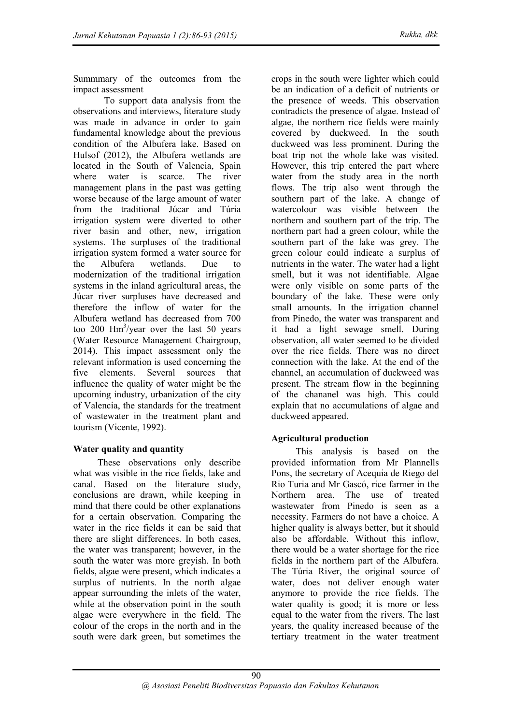Summmary of the outcomes from the impact assessment

To support data analysis from the observations and interviews, literature study was made in advance in order to gain fundamental knowledge about the previous condition of the Albufera lake. Based on Hulsof (2012), the Albufera wetlands are located in the South of Valencia, Spain where water is scarce. The river management plans in the past was getting worse because of the large amount of water from the traditional Júcar and Túria irrigation system were diverted to other river basin and other, new, irrigation systems. The surpluses of the traditional irrigation system formed a water source for the Albufera wetlands. Due to modernization of the traditional irrigation systems in the inland agricultural areas, the Júcar river surpluses have decreased and therefore the inflow of water for the Albufera wetland has decreased from 700 too 200  $\text{Hm}^3/\text{year}$  over the last 50 years (Water Resource Management Chairgroup, 2014). This impact assessment only the relevant information is used concerning the five elements. Several sources that influence the quality of water might be the upcoming industry, urbanization of the city of Valencia, the standards for the treatment of wastewater in the treatment plant and tourism (Vicente, 1992).

## **Water quality and quantity**

These observations only describe what was visible in the rice fields, lake and canal. Based on the literature study, conclusions are drawn, while keeping in mind that there could be other explanations for a certain observation. Comparing the water in the rice fields it can be said that there are slight differences. In both cases, the water was transparent; however, in the south the water was more greyish. In both fields, algae were present, which indicates a surplus of nutrients. In the north algae appear surrounding the inlets of the water, while at the observation point in the south algae were everywhere in the field. The colour of the crops in the north and in the south were dark green, but sometimes the

crops in the south were lighter which could be an indication of a deficit of nutrients or the presence of weeds. This observation contradicts the presence of algae. Instead of algae, the northern rice fields were mainly covered by duckweed. In the south duckweed was less prominent. During the boat trip not the whole lake was visited. However, this trip entered the part where water from the study area in the north flows. The trip also went through the southern part of the lake. A change of watercolour was visible between the northern and southern part of the trip. The northern part had a green colour, while the southern part of the lake was grey. The green colour could indicate a surplus of nutrients in the water. The water had a light smell, but it was not identifiable. Algae were only visible on some parts of the boundary of the lake. These were only small amounts. In the irrigation channel from Pinedo, the water was transparent and it had a light sewage smell. During observation, all water seemed to be divided over the rice fields. There was no direct connection with the lake. At the end of the channel, an accumulation of duckweed was present. The stream flow in the beginning of the chananel was high. This could explain that no accumulations of algae and duckweed appeared.

# **Agricultural production**

This analysis is based on the provided information from Mr Plannells Pons, the secretary of Acequia de Riego del Rio Turia and Mr Gascó, rice farmer in the Northern area. The use of treated wastewater from Pinedo is seen as a necessity. Farmers do not have a choice. A higher quality is always better, but it should also be affordable. Without this inflow, there would be a water shortage for the rice fields in the northern part of the Albufera. The Túria River, the original source of water, does not deliver enough water anymore to provide the rice fields. The water quality is good; it is more or less equal to the water from the rivers. The last years, the quality increased because of the tertiary treatment in the water treatment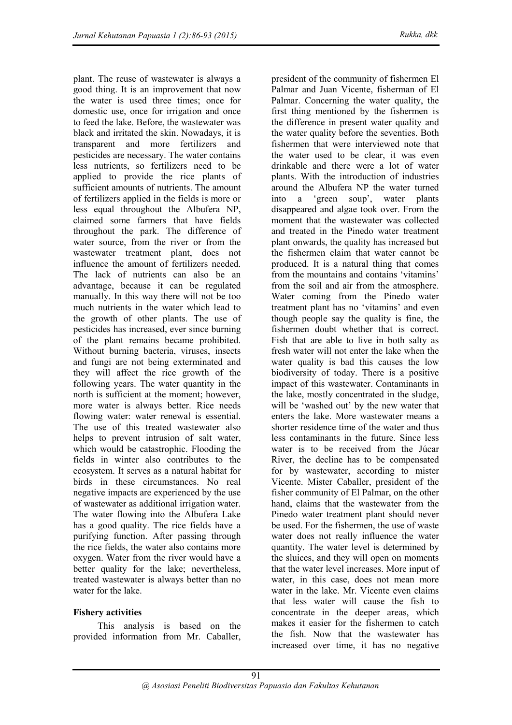plant. The reuse of wastewater is always a good thing. It is an improvement that now the water is used three times; once for domestic use, once for irrigation and once to feed the lake. Before, the wastewater was black and irritated the skin. Nowadays, it is transparent and more fertilizers and pesticides are necessary. The water contains less nutrients, so fertilizers need to be applied to provide the rice plants of sufficient amounts of nutrients. The amount of fertilizers applied in the fields is more or less equal throughout the Albufera NP, claimed some farmers that have fields throughout the park. The difference of water source, from the river or from the wastewater treatment plant, does not influence the amount of fertilizers needed. The lack of nutrients can also be an advantage, because it can be regulated manually. In this way there will not be too much nutrients in the water which lead to the growth of other plants. The use of pesticides has increased, ever since burning of the plant remains became prohibited. Without burning bacteria, viruses, insects and fungi are not being exterminated and they will affect the rice growth of the following years. The water quantity in the north is sufficient at the moment; however, more water is always better. Rice needs flowing water: water renewal is essential. The use of this treated wastewater also helps to prevent intrusion of salt water, which would be catastrophic. Flooding the fields in winter also contributes to the ecosystem. It serves as a natural habitat for birds in these circumstances. No real negative impacts are experienced by the use of wastewater as additional irrigation water. The water flowing into the Albufera Lake has a good quality. The rice fields have a purifying function. After passing through the rice fields, the water also contains more oxygen. Water from the river would have a better quality for the lake; nevertheless, treated wastewater is always better than no water for the lake.

## **Fishery activities**

This analysis is based on the provided information from Mr. Caballer, president of the community of fishermen El Palmar and Juan Vicente, fisherman of El Palmar. Concerning the water quality, the first thing mentioned by the fishermen is the difference in present water quality and the water quality before the seventies. Both fishermen that were interviewed note that the water used to be clear, it was even drinkable and there were a lot of water plants. With the introduction of industries around the Albufera NP the water turned into a 'green soup', water plants disappeared and algae took over. From the moment that the wastewater was collected and treated in the Pinedo water treatment plant onwards, the quality has increased but the fishermen claim that water cannot be produced. It is a natural thing that comes from the mountains and contains 'vitamins' from the soil and air from the atmosphere. Water coming from the Pinedo water treatment plant has no 'vitamins' and even though people say the quality is fine, the fishermen doubt whether that is correct. Fish that are able to live in both salty as fresh water will not enter the lake when the water quality is bad this causes the low biodiversity of today. There is a positive impact of this wastewater. Contaminants in the lake, mostly concentrated in the sludge, will be 'washed out' by the new water that enters the lake. More wastewater means a shorter residence time of the water and thus less contaminants in the future. Since less water is to be received from the Júcar River, the decline has to be compensated for by wastewater, according to mister Vicente. Mister Caballer, president of the fisher community of El Palmar, on the other hand, claims that the wastewater from the Pinedo water treatment plant should never be used. For the fishermen, the use of waste water does not really influence the water quantity. The water level is determined by the sluices, and they will open on moments that the water level increases. More input of water, in this case, does not mean more water in the lake. Mr. Vicente even claims that less water will cause the fish to concentrate in the deeper areas, which makes it easier for the fishermen to catch the fish. Now that the wastewater has increased over time, it has no negative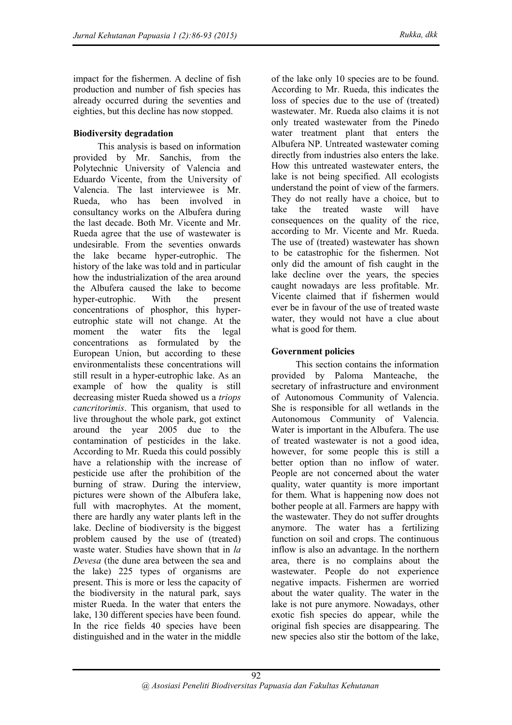impact for the fishermen. A decline of fish production and number of fish species has already occurred during the seventies and eighties, but this decline has now stopped.

## **Biodiversity degradation**

This analysis is based on information provided by Mr. Sanchis, from the Polytechnic University of Valencia and Eduardo Vicente, from the University of Valencia. The last interviewee is Mr. Rueda, who has been involved in consultancy works on the Albufera during the last decade. Both Mr. Vicente and Mr. Rueda agree that the use of wastewater is undesirable. From the seventies onwards the lake became hyper-eutrophic. The history of the lake was told and in particular how the industrialization of the area around the Albufera caused the lake to become hyper-eutrophic. With the present concentrations of phosphor, this hypereutrophic state will not change. At the moment the water fits the legal concentrations as formulated by the European Union, but according to these environmentalists these concentrations will still result in a hyper-eutrophic lake. As an example of how the quality is still decreasing mister Rueda showed us a *triops cancritorimis*. This organism, that used to live throughout the whole park, got extinct around the year 2005 due to the contamination of pesticides in the lake. According to Mr. Rueda this could possibly have a relationship with the increase of pesticide use after the prohibition of the burning of straw. During the interview, pictures were shown of the Albufera lake, full with macrophytes. At the moment, there are hardly any water plants left in the lake. Decline of biodiversity is the biggest problem caused by the use of (treated) waste water. Studies have shown that in *la Devesa* (the dune area between the sea and the lake) 225 types of organisms are present. This is more or less the capacity of the biodiversity in the natural park, says mister Rueda. In the water that enters the lake, 130 different species have been found. In the rice fields 40 species have been distinguished and in the water in the middle

of the lake only 10 species are to be found. According to Mr. Rueda, this indicates the loss of species due to the use of (treated) wastewater. Mr. Rueda also claims it is not only treated wastewater from the Pinedo water treatment plant that enters the Albufera NP. Untreated wastewater coming directly from industries also enters the lake. How this untreated wastewater enters, the lake is not being specified. All ecologists understand the point of view of the farmers. They do not really have a choice, but to take the treated waste will have consequences on the quality of the rice, according to Mr. Vicente and Mr. Rueda. The use of (treated) wastewater has shown to be catastrophic for the fishermen. Not only did the amount of fish caught in the lake decline over the years, the species caught nowadays are less profitable. Mr. Vicente claimed that if fishermen would ever be in favour of the use of treated waste water, they would not have a clue about what is good for them.

### **Government policies**

This section contains the information provided by Paloma Manteache, the secretary of infrastructure and environment of Autonomous Community of Valencia. She is responsible for all wetlands in the Autonomous Community of Valencia. Water is important in the Albufera. The use of treated wastewater is not a good idea, however, for some people this is still a better option than no inflow of water. People are not concerned about the water quality, water quantity is more important for them. What is happening now does not bother people at all. Farmers are happy with the wastewater. They do not suffer droughts anymore. The water has a fertilizing function on soil and crops. The continuous inflow is also an advantage. In the northern area, there is no complains about the wastewater. People do not experience negative impacts. Fishermen are worried about the water quality. The water in the lake is not pure anymore. Nowadays, other exotic fish species do appear, while the original fish species are disappearing. The new species also stir the bottom of the lake,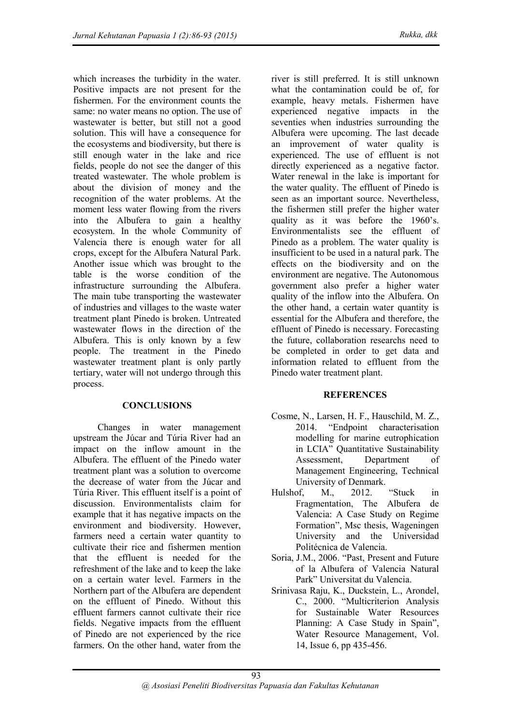which increases the turbidity in the water. Positive impacts are not present for the fishermen. For the environment counts the same: no water means no option. The use of wastewater is better, but still not a good solution. This will have a consequence for the ecosystems and biodiversity, but there is still enough water in the lake and rice fields, people do not see the danger of this treated wastewater. The whole problem is about the division of money and the recognition of the water problems. At the moment less water flowing from the rivers into the Albufera to gain a healthy ecosystem. In the whole Community of Valencia there is enough water for all crops, except for the Albufera Natural Park. Another issue which was brought to the table is the worse condition of the infrastructure surrounding the Albufera. The main tube transporting the wastewater of industries and villages to the waste water treatment plant Pinedo is broken. Untreated wastewater flows in the direction of the Albufera. This is only known by a few people. The treatment in the Pinedo wastewater treatment plant is only partly tertiary, water will not undergo through this process.

## **CONCLUSIONS**

Changes in water management upstream the Júcar and Túria River had an impact on the inflow amount in the Albufera. The effluent of the Pinedo water treatment plant was a solution to overcome the decrease of water from the Júcar and Túria River. This effluent itself is a point of discussion. Environmentalists claim for example that it has negative impacts on the environment and biodiversity. However, farmers need a certain water quantity to cultivate their rice and fishermen mention that the effluent is needed for the refreshment of the lake and to keep the lake on a certain water level. Farmers in the Northern part of the Albufera are dependent on the effluent of Pinedo. Without this effluent farmers cannot cultivate their rice fields. Negative impacts from the effluent of Pinedo are not experienced by the rice farmers. On the other hand, water from the

river is still preferred. It is still unknown what the contamination could be of, for example, heavy metals. Fishermen have experienced negative impacts in the seventies when industries surrounding the Albufera were upcoming. The last decade an improvement of water quality is experienced. The use of effluent is not directly experienced as a negative factor. Water renewal in the lake is important for the water quality. The effluent of Pinedo is seen as an important source. Nevertheless, the fishermen still prefer the higher water quality as it was before the 1960's. Environmentalists see the effluent of Pinedo as a problem. The water quality is insufficient to be used in a natural park. The effects on the biodiversity and on the environment are negative. The Autonomous government also prefer a higher water quality of the inflow into the Albufera. On the other hand, a certain water quantity is essential for the Albufera and therefore, the effluent of Pinedo is necessary. Forecasting the future, collaboration researchs need to be completed in order to get data and information related to effluent from the Pinedo water treatment plant.

## **REFERENCES**

- Cosme, N., Larsen, H. F., Hauschild, M. Z., 2014. "Endpoint characterisation modelling for marine eutrophication in LCIA" Quantitative Sustainability Assessment, Department of Management Engineering, Technical University of Denmark.
- Hulshof, M., 2012. "Stuck in Fragmentation, The Albufera de Valencia: A Case Study on Regime Formation", Msc thesis, Wageningen University and the Universidad Politécnica de Valencia.
- Soria, J.M., 2006. "Past, Present and Future of la Albufera of Valencia Natural Park" Universitat du Valencia.
- Srinivasa Raju, K., Duckstein, L., Arondel, C., 2000. "Multicriterion Analysis for Sustainable Water Resources Planning: A Case Study in Spain", Water Resource Management, Vol. 14, Issue 6, pp 435-456.